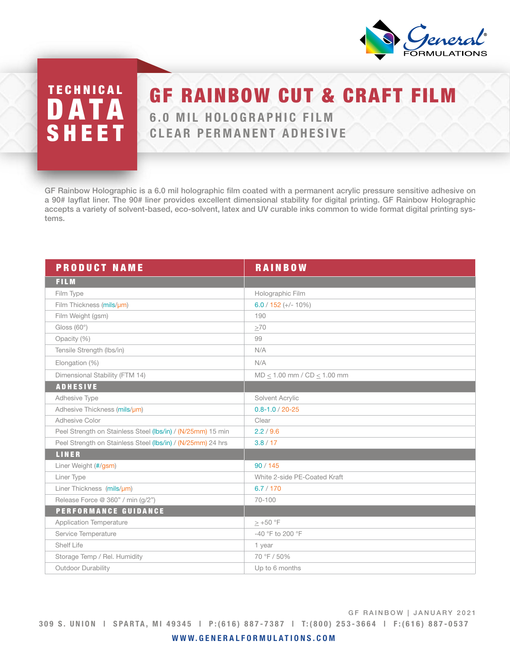

## TECHNICAL **DATA** SHEET

## **GF RAINBOW CUT & CRAFT**

6.0 MIL HOLOGRAPHIC FILM CLEAR PERMANENT ADHESIVE

GF Rainbow Holographic is a 6.0 mil holographic film coated with a permanent acrylic pressure sensitive adhesive on a 90# layflat liner. The 90# liner provides excellent dimensional stability for digital printing. GF Rainbow Holographic accepts a variety of solvent-based, eco-solvent, latex and UV curable inks common to wide format digital printing systems.

| <b>PRODUCT NAME</b>                                         | <b>RAINBOW</b>                      |
|-------------------------------------------------------------|-------------------------------------|
| <b>FILM</b>                                                 |                                     |
| Film Type                                                   | Holographic Film                    |
| Film Thickness (mils/µm)                                    | $6.0 / 152 (+ - 10\%)$              |
| Film Weight (gsm)                                           | 190                                 |
| Gloss $(60^{\circ})$                                        | >70                                 |
| Opacity (%)                                                 | 99                                  |
| Tensile Strength (lbs/in)                                   | N/A                                 |
| Elongation (%)                                              | N/A                                 |
| Dimensional Stability (FTM 14)                              | $MD \le 1.00$ mm / $CD \le 1.00$ mm |
| <b>ADHESIVE</b>                                             |                                     |
| Adhesive Type                                               | Solvent Acrylic                     |
| Adhesive Thickness (mils/um)                                | $0.8 - 1.0 / 20 - 25$               |
| Adhesive Color                                              | Clear                               |
| Peel Strength on Stainless Steel (lbs/in) / (N/25mm) 15 min | 2.2 / 9.6                           |
| Peel Strength on Stainless Steel (lbs/in) / (N/25mm) 24 hrs | 3.8 / 17                            |
| LINER                                                       |                                     |
| Liner Weight (#/gsm)                                        | 90/145                              |
| Liner Type                                                  | White 2-side PE-Coated Kraft        |
| Liner Thickness (mils/µm)                                   | 6.7 / 170                           |
| Release Force @ 360" / min (g/2")                           | $70 - 100$                          |
| PERFORMANCE GUIDANCE                                        |                                     |
| <b>Application Temperature</b>                              | $> +50$ °F                          |
| Service Temperature                                         | -40 °F to 200 °F                    |
| Shelf Life                                                  | 1 year                              |
| Storage Temp / Rel. Humidity                                | 70 °F / 50%                         |
| Outdoor Durability                                          | Up to 6 months                      |

309 S. UNION | SPARTA, MI 49345 | P:(616) 887-7387 | T:(800) 253-3664 | F:(616) 887-0537 GF RAINBOW | JANUARY 2021